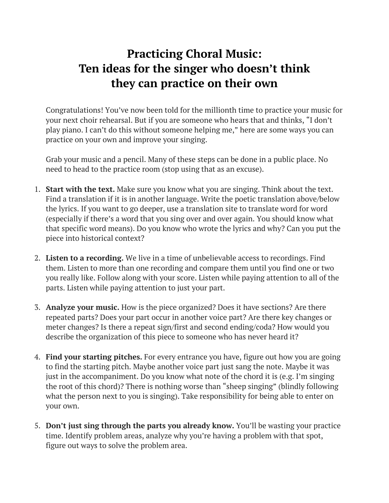## **Practicing Choral Music: Ten ideas for the singer who doesn't think they can practice on their own**

Congratulations! You've now been told for the millionth time to practice your music for your next choir rehearsal. But if you are someone who hears that and thinks, "I don't play piano. I can't do this without someone helping me," here are some ways you can practice on your own and improve your singing.

Grab your music and a pencil. Many of these steps can be done in a public place. No need to head to the practice room (stop using that as an excuse).

- 1. **Start with the text.** Make sure you know what you are singing. Think about the text. Find a translation if it is in another language. Write the poetic translation above/below the lyrics. If you want to go deeper, use a translation site to translate word for word (especially if there's a word that you sing over and over again. You should know what that specific word means). Do you know who wrote the lyrics and why? Can you put the piece into historical context?
- 2. **Listen to a recording.** We live in a time of unbelievable access to recordings. Find them. Listen to more than one recording and compare them until you find one or two you really like. Follow along with your score. Listen while paying attention to all of the parts. Listen while paying attention to just your part.
- 3. **Analyze your music.** How is the piece organized? Does it have sections? Are there repeated parts? Does your part occur in another voice part? Are there key changes or meter changes? Is there a repeat sign/first and second ending/coda? How would you describe the organization of this piece to someone who has never heard it?
- 4. **Find your starting pitches.** For every entrance you have, figure out how you are going to find the starting pitch. Maybe another voice part just sang the note. Maybe it was just in the accompaniment. Do you know what note of the chord it is (e.g. I'm singing the root of this chord)? There is nothing worse than "sheep singing" (blindly following what the person next to you is singing). Take responsibility for being able to enter on your own.
- 5. **Don't just sing through the parts you already know.** You'll be wasting your practice time. Identify problem areas, analyze why you're having a problem with that spot, figure out ways to solve the problem area.